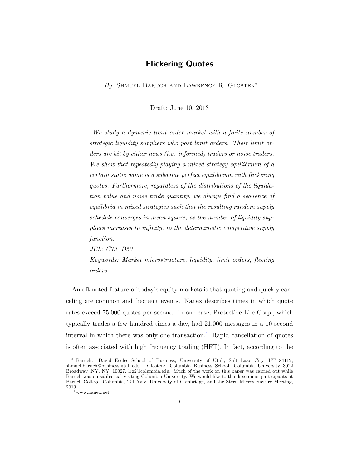# Flickering Quotes

By SHMUEL BARUCH AND LAWRENCE R. GLOSTEN<sup>\*</sup>

Draft: June 10, 2013

We study a dynamic limit order market with a finite number of strategic liquidity suppliers who post limit orders. Their limit orders are hit by either news (i.e. informed) traders or noise traders. We show that repeatedly playing a mixed strategy equilibrium of a certain static game is a subgame perfect equilibrium with flickering quotes. Furthermore, regardless of the distributions of the liquidation value and noise trade quantity, we always find a sequence of equilibria in mixed strategies such that the resulting random supply schedule converges in mean square, as the number of liquidity suppliers increases to infinity, to the deterministic competitive supply function.

JEL: C73, D53

Keywords: Market microstructure, liquidity, limit orders, fleeting orders

An oft noted feature of today's equity markets is that quoting and quickly canceling are common and frequent events. Nanex describes times in which quote rates exceed 75,000 quotes per second. In one case, Protective Life Corp., which typically trades a few hundred times a day, had 21,000 messages in a 10 second interval in which there was only one transaction.<sup>[1](#page-0-0)</sup> Rapid cancellation of quotes is often associated with high frequency trading (HFT). In fact, according to the

<sup>∗</sup> Baruch: David Eccles School of Business, University of Utah, Salt Lake City, UT 84112, shmuel.baruch@business.utah.edu. Glosten: Columbia Business School, Columbia University 3022 Broadway ,NY, NY, 10027, lrg2@columbia.edu. Much of the work on this paper was carried out while Baruch was on sabbatical visiting Columbia University. We would like to thank seminar participants at Baruch College, Columbia, Tel Aviv, University of Cambridge, and the Stern Microstructure Meeting, 2013

<span id="page-0-0"></span> $\rm^1$  www.nanex.net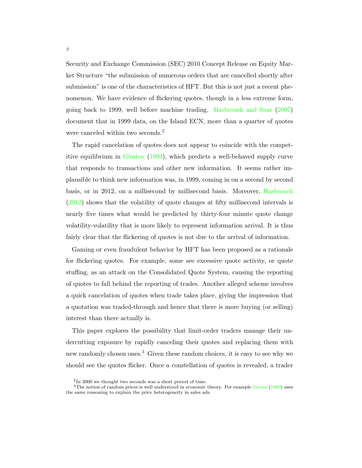Security and Exchange Commission (SEC) 2010 Concept Release on Equity Market Structure "the submission of numerous orders that are cancelled shortly after submission" is one of the characteristics of HFT. But this is not just a recent phenomenon. We have evidence of flickering quotes, though in a less extreme form, going back to 1999, well before machine trading. [Hasbrouck and Saar](#page-34-0) [\(2007\)](#page-34-0) document that in 1999 data, on the Island ECN, more than a quarter of quotes were canceled within two seconds.<sup>[2](#page-1-0)</sup>

The rapid cancelation of quotes does not appear to coincide with the competitive equilibrium in [Glosten](#page-33-0) [\(1994\)](#page-33-0), which predicts a well-behaved supply curve that responds to transactions and other new information. It seems rather implausible to think new information was, in 1999, coming in on a second by second basis, or in 2012, on a millisecond by millisecond basis. Moreover, [Hasbrouck](#page-33-1) [\(2012\)](#page-33-1) shows that the volatility of quote changes at fifty millisecond intervals is nearly five times what would be predicted by thirty-four minute quote change volatility-volatility that is more likely to represent information arrival. It is thus fairly clear that the flickering of quotes is not due to the arrival of information.

Gaming or even fraudulent behavior by HFT has been proposed as a rationale for flickering quotes. For example, some see excessive quote activity, or quote stuffing, as an attack on the Consolidated Quote System, causing the reporting of quotes to fall behind the reporting of trades. Another alleged scheme involves a quick cancelation of quotes when trade takes place, giving the impression that a quotation was traded-through and hence that there is more buying (or selling) interest than there actually is.

This paper explores the possibility that limit-order traders manage their undercutting exposure by rapidly canceling their quotes and replacing them with new randomly chosen ones.<sup>[3](#page-1-1)</sup> Given these random choices, it is easy to see why we should see the quotes flicker. Once a constellation of quotes is revealed, a trader

<span id="page-1-1"></span><span id="page-1-0"></span><sup>2</sup> In 2000 we thought two seconds was a short period of time.

 $3$ The notion of random prices is well understood in economic theory. For example [Varian](#page-34-1) [\(1980\)](#page-34-1) uses the same reasoning to explain the price heterogeneity in sales ads.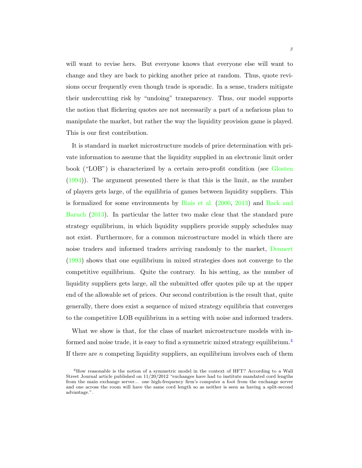will want to revise hers. But everyone knows that everyone else will want to change and they are back to picking another price at random. Thus, quote revisions occur frequently even though trade is sporadic. In a sense, traders mitigate their undercutting risk by "undoing" transparency. Thus, our model supports the notion that flickering quotes are not necessarily a part of a nefarious plan to manipulate the market, but rather the way the liquidity provision game is played. This is our first contribution.

It is standard in market microstructure models of price determination with private information to assume that the liquidity supplied in an electronic limit order book ("LOB") is characterized by a certain zero-profit condition (see [Glosten](#page-33-0) [\(1994\)](#page-33-0)). The argument presented there is that this is the limit, as the number of players gets large, of the equilibria of games between liquidity suppliers. This is formalized for some environments by [Biais et al.](#page-33-2) [\(2000,](#page-33-2) [2013\)](#page-33-3) and [Back and](#page-33-4) [Baruch](#page-33-4) [\(2013\)](#page-33-4). In particular the latter two make clear that the standard pure strategy equilibrium, in which liquidity suppliers provide supply schedules may not exist. Furthermore, for a common microstructure model in which there are noise traders and informed traders arriving randomly to the market, [Dennert](#page-33-5) [\(1993\)](#page-33-5) shows that one equilibrium in mixed strategies does not converge to the competitive equilibrium. Quite the contrary. In his setting, as the number of liquidity suppliers gets large, all the submitted offer quotes pile up at the upper end of the allowable set of prices. Our second contribution is the result that, quite generally, there does exist a sequence of mixed strategy equilibria that converges to the competitive LOB equilibrium in a setting with noise and informed traders.

What we show is that, for the class of market microstructure models with in-formed and noise trade, it is easy to find a symmetric mixed strategy equilibrium.<sup>[4](#page-2-0)</sup> If there are n competing liquidity suppliers, an equilibrium involves each of them

<span id="page-2-0"></span><sup>&</sup>lt;sup>4</sup>How reasonable is the notion of a symmetric model in the context of HFT? According to a Wall Street Journal article published on  $11/20/2012$  "exchanges have had to institute mandated cord lengths from the main exchange server... one high-frequency firm's computer a foot from the exchange server and one across the room will have the same cord length so as neither is seen as having a split-second advantage.".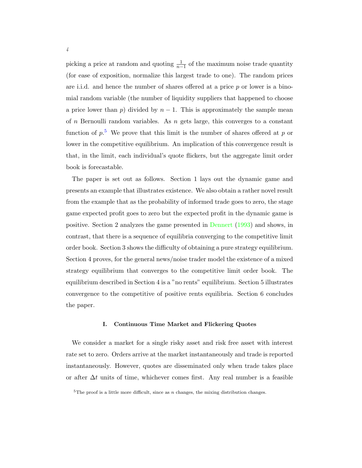picking a price at random and quoting  $\frac{1}{n-1}$  of the maximum noise trade quantity (for ease of exposition, normalize this largest trade to one). The random prices are i.i.d. and hence the number of shares offered at a price  $p$  or lower is a binomial random variable (the number of liquidity suppliers that happened to choose a price lower than p) divided by  $n-1$ . This is approximately the sample mean of n Bernoulli random variables. As  $n$  gets large, this converges to a constant function of  $p<sup>5</sup>$  $p<sup>5</sup>$  $p<sup>5</sup>$ . We prove that this limit is the number of shares offered at p or lower in the competitive equilibrium. An implication of this convergence result is that, in the limit, each individual's quote flickers, but the aggregate limit order book is forecastable.

The paper is set out as follows. Section 1 lays out the dynamic game and presents an example that illustrates existence. We also obtain a rather novel result from the example that as the probability of informed trade goes to zero, the stage game expected profit goes to zero but the expected profit in the dynamic game is positive. Section 2 analyzes the game presented in [Dennert](#page-33-5) [\(1993\)](#page-33-5) and shows, in contrast, that there is a sequence of equilibria converging to the competitive limit order book. Section 3 shows the difficulty of obtaining a pure strategy equilibrium. Section 4 proves, for the general news/noise trader model the existence of a mixed strategy equilibrium that converges to the competitive limit order book. The equilibrium described in Section 4 is a "no rents" equilibrium. Section 5 illustrates convergence to the competitive of positive rents equilibria. Section 6 concludes the paper.

#### I. Continuous Time Market and Flickering Quotes

We consider a market for a single risky asset and risk free asset with interest rate set to zero. Orders arrive at the market instantaneously and trade is reported instantaneously. However, quotes are disseminated only when trade takes place or after  $\Delta t$  units of time, whichever comes first. Any real number is a feasible

<span id="page-3-0"></span> $5$ The proof is a little more difficult, since as n changes, the mixing distribution changes.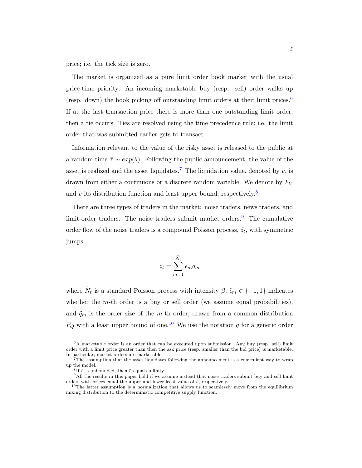price; i.e. the tick size is zero.

The market is organized as a pure limit order book market with the usual price-time priority: An incoming marketable buy (resp. sell) order walks up (resp. down) the book picking off outstanding limit orders at their limit prices. $6$ If at the last transaction price there is more than one outstanding limit order, then a tie occurs. Ties are resolved using the time precedence rule; i.e. the limit order that was submitted earlier gets to transact.

Information relevant to the value of the risky asset is released to the public at a random time  $\tilde{\tau} \sim exp(\theta)$ . Following the public announcement, the value of the asset is realized and the asset liquidates.<sup>[7](#page-4-1)</sup> The liquidation value, denoted by  $\tilde{v}$ , is drawn from either a continuous or a discrete random variable. We denote by  $F_V$ and  $\bar{v}$  its distribution function and least upper bound, respectively.<sup>[8](#page-4-2)</sup>

There are three types of traders in the market: noise traders, news traders, and limit-order traders. The noise traders submit market orders.<sup>[9](#page-4-3)</sup> The cumulative order flow of the noise traders is a compound Poisson process,  $\tilde{z}_t$ , with symmetric jumps

$$
\tilde{z}_t = \sum_{m=1}^{\tilde{N}_t} \tilde{\epsilon}_m \tilde{q}_m
$$

where  $\tilde{N}_t$  is a standard Poisson process with intensity  $\beta$ ,  $\tilde{\epsilon}_m \in \{-1, 1\}$  indicates whether the  $m$ -th order is a buy or sell order (we assume equal probabilities), and  $\tilde{q}_m$  is the order size of the m-th order, drawn from a common distribution  $F_Q$  with a least upper bound of one.<sup>[10](#page-4-4)</sup> We use the notation  $\tilde{q}$  for a generic order

<span id="page-4-0"></span> $6A$  marketable order is an order that can be executed upon submission. Any buy (resp. sell) limit order with a limit price greater than then the ask price (resp. smaller than the bid price) is marketable. In particular, market orders are marketable.

<span id="page-4-1"></span><sup>7</sup>The assumption that the asset liquidates following the announcement is a convenient way to wrap up the model.

<span id="page-4-3"></span><span id="page-4-2"></span><sup>&</sup>lt;sup>8</sup>If  $\tilde{v}$  is unbounded, then  $\bar{v}$  equals infinity.

<sup>&</sup>lt;sup>9</sup>All the results in this paper hold if we assume instead that noise traders submit buy and sell limit orders with prices equal the upper and lower least value of  $\tilde{v}$ , respectively.

<span id="page-4-4"></span><sup>&</sup>lt;sup>10</sup>The latter assumption is a normalization that allows us to seamlessly move from the equilibrium mixing distribution to the deterministic competitive supply function.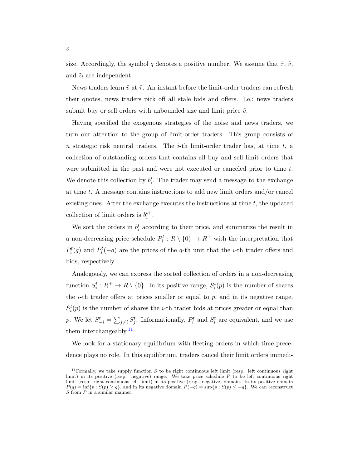size. Accordingly, the symbol q denotes a positive number. We assume that  $\tilde{\tau}$ ,  $\tilde{v}$ , and  $\tilde{z}_t$  are independent.

News traders learn  $\tilde{v}$  at  $\tilde{\tau}$ . An instant before the limit-order traders can refresh their quotes, news traders pick off all stale bids and offers. I.e.; news traders submit buy or sell orders with unbounded size and limit price  $\tilde{v}$ .

Having specified the exogenous strategies of the noise and news traders, we turn our attention to the group of limit-order traders. This group consists of n strategic risk neutral traders. The *i*-th limit-order trader has, at time  $t$ , a collection of outstanding orders that contains all buy and sell limit orders that were submitted in the past and were not executed or canceled prior to time t. We denote this collection by  $b_i^t$ . The trader may send a message to the exchange at time  $t$ . A message contains instructions to add new limit orders and/or cancel existing ones. After the exchange executes the instructions at time  $t$ , the updated collection of limit orders is  $b_i^{t+}$ .

We sort the orders in  $b_i^t$  according to their price, and summarize the result in a non-decreasing price schedule  $P_i^t: R \setminus \{0\} \to R^+$  with the interpretation that  $P_i^t(q)$  and  $P_i^t(-q)$  are the prices of the q-th unit that the *i*-th trader offers and bids, respectively.

Analogously, we can express the sorted collection of orders in a non-decreasing function  $S_i^t : R^+ \to R \setminus \{0\}$ . In its positive range,  $S_i^t(p)$  is the number of shares the *i*-th trader offers at prices smaller or equal to  $p$ , and in its negative range,  $S_i^t(p)$  is the number of shares the *i*-th trader bids at prices greater or equal than p. We let  $S_{-i}^t = \sum_{j \neq i} S_j^t$ . Informationally,  $P_i^t$  and  $S_i^t$  are equivalent, and we use them interchangeably.<sup>[11](#page-5-0)</sup>

We look for a stationary equilibrium with fleeting orders in which time precedence plays no role. In this equilibrium, traders cancel their limit orders immedi-

<span id="page-5-0"></span><sup>&</sup>lt;sup>11</sup> Formally, we take supply function S to be right continuous left limit (resp. left continuous right limit) in its positive (resp. negative) range. We take price schedule  $P$  to be left continuous right limit (resp. right continuous left limit) in its positive (resp. negative) domain. In its positive domain  $P(q) = \inf\{p : S(p) \geq q\}$ , and in its negative domain  $P(-q) = \sup\{p : S(p) \leq -q\}$ . We can reconstruct  $S$  from  $P$  in a similar manner.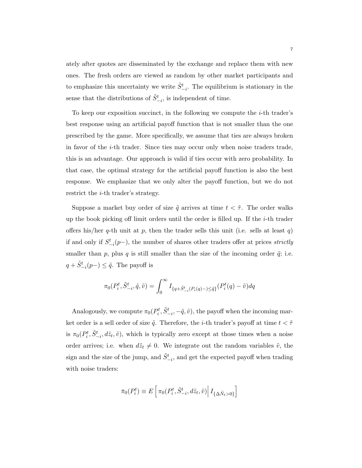ately after quotes are disseminated by the exchange and replace them with new ones. The fresh orders are viewed as random by other market participants and to emphasize this uncertainty we write  $\tilde{S}_{-i}^t$ . The equilibrium is stationary in the sense that the distributions of  $\tilde{S}_{-i}^t$ , is independent of time.

To keep our exposition succinct, in the following we compute the  $i$ -th trader's best response using an artificial payoff function that is not smaller than the one prescribed by the game. More specifically, we assume that ties are always broken in favor of the i-th trader. Since ties may occur only when noise traders trade, this is an advantage. Our approach is valid if ties occur with zero probability. In that case, the optimal strategy for the artificial payoff function is also the best response. We emphasize that we only alter the payoff function, but we do not restrict the i-th trader's strategy.

Suppose a market buy order of size  $\tilde{q}$  arrives at time  $t < \tilde{\tau}$ . The order walks up the book picking off limit orders until the order is filled up. If the i-th trader offers his/her q-th unit at p, then the trader sells this unit (i.e. sells at least q) if and only if  $S_{-i}^{t}(p-)$ , the number of shares other traders offer at prices *strictly* smaller than p, plus q is still smaller than the size of the incoming order  $\tilde{q}$ ; i.e.  $q + \tilde{S}_{-i}^{t}(p-) \leq \tilde{q}$ . The payoff is

$$
\pi_0(P_i^t, \tilde{S}_{-i}^t, \tilde{q}, \tilde{v}) = \int_0^\infty I_{\{q + \tilde{S}_{-i}^t(P_i(q) -) \leq \tilde{q}\}}(P_i^t(q) - \tilde{v})dq
$$

Analogously, we compute  $\pi_0(P_i^t, \tilde{S}_{-i}^t, -\tilde{q}, \tilde{v})$ , the payoff when the incoming market order is a sell order of size  $\tilde{q}$ . Therefore, the *i*-th trader's payoff at time  $t < \tilde{\tau}$ is  $\pi_0(P_i^t, \tilde{S}_{-i}^t, d\tilde{z}_t, \tilde{v})$ , which is typically zero except at those times when a noise order arrives; i.e. when  $d\tilde{z}_t \neq 0$ . We integrate out the random variables  $\tilde{v}$ , the sign and the size of the jump, and  $\tilde{S}_{-i}^t$ , and get the expected payoff when trading with noise traders:

$$
\bar{\pi}_0(P_i^t) \equiv E\left[\pi_0(P_i^t, \tilde{S}_{-i}^t, d\tilde{z}_t, \tilde{v}) \Big| I_{\{\Delta \tilde{N}_t > 0\}}\right]
$$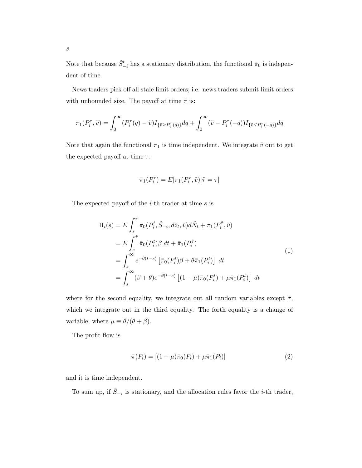Note that because  $\tilde{S}_{-i}^t$  has a stationary distribution, the functional  $\bar{\pi}_0$  is independent of time.

News traders pick off all stale limit orders; i.e. news traders submit limit orders with unbounded size. The payoff at time  $\tilde{\tau}$  is:

$$
\pi_1(P_i^{\tau}, \tilde{v}) = \int_0^{\infty} (P_i^{\tau}(q) - \tilde{v}) I_{\{\tilde{v} \ge P_i^{\tau}(q)\}} dq + \int_0^{\infty} (\tilde{v} - P_i^{\tau}(-q)) I_{\{\tilde{v} \le P_i^{\tau}(-q)\}} dq
$$

Note that again the functional  $\pi_1$  is time independent. We integrate  $\tilde{v}$  out to get the expected payoff at time  $\tau$ :

$$
\bar{\pi}_1(P^\tau_i) = E[\pi_1(P^\tau_i, \tilde{v}) | \tilde{\tau} = \tau]
$$

The expected payoff of the  $i$ -th trader at time  $s$  is

<span id="page-7-0"></span>
$$
\Pi_i(s) = E \int_s^{\tilde{\tau}} \pi_0(P_i^t, \tilde{S}_{-i}, d\tilde{z}_t, \tilde{v}) d\tilde{N}_t + \pi_1(P_i^{\tilde{\tau}}, \tilde{v})
$$
\n
$$
= E \int_s^{\tilde{\tau}} \bar{\pi}_0(P_i^t) \beta dt + \bar{\pi}_1(P_i^{\tilde{\tau}})
$$
\n
$$
= \int_s^{\infty} e^{-\theta(t-s)} \left[ \bar{\pi}_0(P_i^t) \beta + \theta \bar{\pi}_1(P_i^t) \right] dt
$$
\n
$$
= \int_s^{\infty} (\beta + \theta) e^{-\theta(t-s)} \left[ (1 - \mu) \bar{\pi}_0(P_i^t) + \mu \bar{\pi}_1(P_i^t) \right] dt
$$
\n(1)

where for the second equality, we integrate out all random variables except  $\tilde{\tau}$ , which we integrate out in the third equality. The forth equality is a change of variable, where  $\mu \equiv \theta/(\theta + \beta)$ .

The profit flow is

<span id="page-7-1"></span>
$$
\bar{\pi}(P_i) = [(1 - \mu)\bar{\pi}_0(P_i) + \mu\bar{\pi}_1(P_i)] \tag{2}
$$

and it is time independent.

To sum up, if  $\tilde{S}_{-i}$  is stationary, and the allocation rules favor the *i*-th trader,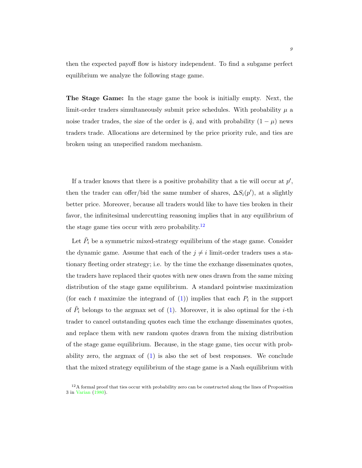then the expected payoff flow is history independent. To find a subgame perfect equilibrium we analyze the following stage game.

The Stage Game: In the stage game the book is initially empty. Next, the limit-order traders simultaneously submit price schedules. With probability  $\mu$  a noise trader trades, the size of the order is  $\tilde{q}$ , and with probability  $(1 - \mu)$  news traders trade. Allocations are determined by the price priority rule, and ties are broken using an unspecified random mechanism.

If a trader knows that there is a positive probability that a tie will occur at  $p'$ , then the trader can offer/bid the same number of shares,  $\Delta S_i(p')$ , at a slightly better price. Moreover, because all traders would like to have ties broken in their favor, the infinitesimal undercutting reasoning implies that in any equilibrium of the stage game ties occur with zero probability.<sup>[12](#page-8-0)</sup>

Let  $\tilde{P}_i$  be a symmetric mixed-strategy equilibrium of the stage game. Consider the dynamic game. Assume that each of the  $j \neq i$  limit-order traders uses a stationary fleeting order strategy; i.e. by the time the exchange disseminates quotes, the traders have replaced their quotes with new ones drawn from the same mixing distribution of the stage game equilibrium. A standard pointwise maximization (for each t maximize the integrand of  $(1)$ ) implies that each  $P_i$  in the support of  $\tilde{P}_i$  belongs to the argmax set of [\(1\)](#page-7-0). Moreover, it is also optimal for the *i*-th trader to cancel outstanding quotes each time the exchange disseminates quotes, and replace them with new random quotes drawn from the mixing distribution of the stage game equilibrium. Because, in the stage game, ties occur with probability zero, the argmax of  $(1)$  is also the set of best responses. We conclude that the mixed strategy equilibrium of the stage game is a Nash equilibrium with

<span id="page-8-0"></span><sup>&</sup>lt;sup>12</sup>A formal proof that ties occur with probability zero can be constructed along the lines of Proposition 3 in [Varian](#page-34-1) [\(1980\)](#page-34-1).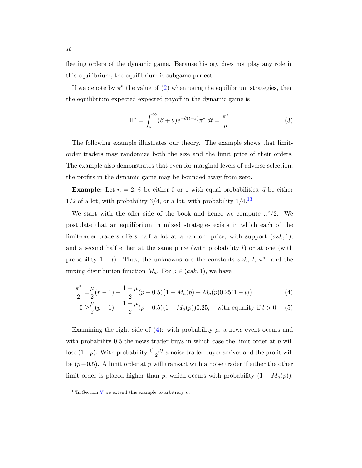fleeting orders of the dynamic game. Because history does not play any role in this equilibrium, the equilibrium is subgame perfect.

If we denote by  $\pi^*$  the value of  $(2)$  when using the equilibrium strategies, then the equilibrium expected expected payoff in the dynamic game is

<span id="page-9-3"></span>
$$
\Pi^* = \int_s^\infty (\beta + \theta) e^{-\theta(t-s)} \pi^* dt = \frac{\pi^*}{\mu}
$$
 (3)

The following example illustrates our theory. The example shows that limitorder traders may randomize both the size and the limit price of their orders. The example also demonstrates that even for marginal levels of adverse selection, the profits in the dynamic game may be bounded away from zero.

**Example:** Let  $n = 2$ ,  $\tilde{v}$  be either 0 or 1 with equal probabilities,  $\tilde{q}$  be either  $1/2$  of a lot, with probability  $3/4$ , or a lot, with probability  $1/4$ .<sup>[13](#page-9-0)</sup>

We start with the offer side of the book and hence we compute  $\pi^*/2$ . We postulate that an equilibrium in mixed strategies exists in which each of the limit-order traders offers half a lot at a random price, with support  $(ask, 1),$ and a second half either at the same price (with probability  $l$ ) or at one (with probability  $1 - l$ ). Thus, the unknowns are the constants ask,  $l, \pi^*$ , and the mixing distribution function  $M_a$ . For  $p \in (ask, 1)$ , we have

$$
\frac{\pi^*}{2} = \frac{\mu}{2}(p-1) + \frac{1-\mu}{2}(p-0.5)\left(1 - M_a(p) + M_a(p)0.25(1-l)\right)
$$
(4)

<span id="page-9-2"></span><span id="page-9-1"></span>
$$
0 \ge \frac{\mu}{2}(p-1) + \frac{1-\mu}{2}(p-0.5)(1 - M_a(p))0.25, \text{ with equality if } l > 0 \quad (5)
$$

Examining the right side of  $(4)$ : with probability  $\mu$ , a news event occurs and with probability  $0.5$  the news trader buys in which case the limit order at p will lose  $(1-p)$ . With probability  $\frac{(1-p)}{2}$  a noise trader buyer arrives and the profit will be  $(p-0.5)$ . A limit order at p will transact with a noise trader if either the other limit order is placed higher than p, which occurs with probability  $(1 - M_a(p));$ 

<span id="page-9-0"></span><sup>&</sup>lt;sup>13</sup>In Section [V](#page-22-0) we extend this example to arbitrary n.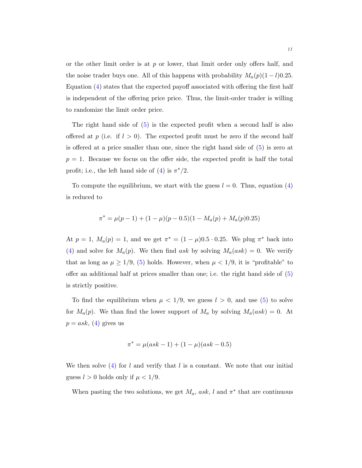or the other limit order is at  $p$  or lower, that limit order only offers half, and the noise trader buys one. All of this happens with probability  $M_a(p)(1 - l)0.25$ . Equation [\(4\)](#page-9-1) states that the expected payoff associated with offering the first half is independent of the offering price price. Thus, the limit-order trader is willing to randomize the limit order price.

The right hand side of [\(5\)](#page-9-2) is the expected profit when a second half is also offered at p (i.e. if  $l > 0$ ). The expected profit must be zero if the second half is offered at a price smaller than one, since the right hand side of [\(5\)](#page-9-2) is zero at  $p = 1$ . Because we focus on the offer side, the expected profit is half the total profit; i.e., the left hand side of [\(4\)](#page-9-1) is  $\pi^*/2$ .

To compute the equilibrium, we start with the guess  $l = 0$ . Thus, equation [\(4\)](#page-9-1) is reduced to

$$
\pi^* = \mu(p-1) + (1-\mu)(p-0.5)(1-M_a(p) + M_a(p)0.25)
$$

At  $p = 1$ ,  $M_a(p) = 1$ , and we get  $\pi^* = (1 - \mu)0.5 \cdot 0.25$ . We plug  $\pi^*$  back into [\(4\)](#page-9-1) and solve for  $M_a(p)$ . We then find ask by solving  $M_a(ask) = 0$ . We verify that as long as  $\mu \geq 1/9$ , [\(5\)](#page-9-2) holds. However, when  $\mu < 1/9$ , it is "profitable" to offer an additional half at prices smaller than one; i.e. the right hand side of [\(5\)](#page-9-2) is strictly positive.

To find the equilibrium when  $\mu$  < 1/9, we guess  $l > 0$ , and use [\(5\)](#page-9-2) to solve for  $M_a(p)$ . We than find the lower support of  $M_a$  by solving  $M_a(ask) = 0$ . At  $p = ask, (4)$  $p = ask, (4)$  gives us

$$
\pi^* = \mu(ask - 1) + (1 - \mu)(ask - 0.5)
$$

We then solve  $(4)$  for l and verify that l is a constant. We note that our initial guess  $l > 0$  holds only if  $\mu < 1/9$ .

When pasting the two solutions, we get  $M_a$ , ask, l and  $\pi^*$  that are continuous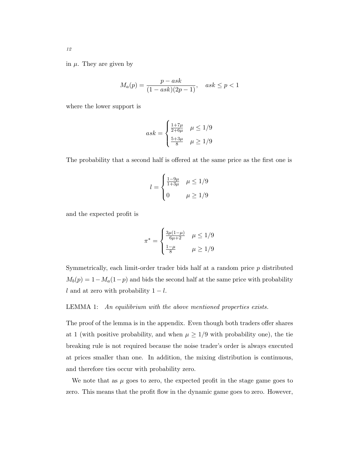in  $\mu$ . They are given by

$$
M_a(p) = \frac{p - ask}{(1 - ask)(2p - 1)}, \quad ask \le p < 1
$$

where the lower support is

$$
ask = \begin{cases} \frac{1+7\mu}{2+6\mu} & \mu \le 1/9\\ \frac{5+3\mu}{8} & \mu \ge 1/9 \end{cases}
$$

The probability that a second half is offered at the same price as the first one is

$$
l = \begin{cases} \frac{1 - 9\mu}{1 + 3\mu} & \mu \le 1/9 \\ 0 & \mu \ge 1/9 \end{cases}
$$

and the expected profit is

<span id="page-11-0"></span>
$$
\pi^* = \begin{cases} \frac{3\mu(1-\mu)}{6\mu+2} & \mu \le 1/9\\ \frac{1-\mu}{8} & \mu \ge 1/9 \end{cases}
$$

Symmetrically, each limit-order trader bids half at a random price  $p$  distributed  $M_b(p) = 1 - M_a(1-p)$  and bids the second half at the same price with probability l and at zero with probability  $1 - l$ .

#### LEMMA 1: An equilibrium with the above mentioned properties exists.

The proof of the lemma is in the appendix. Even though both traders offer shares at 1 (with positive probability, and when  $\mu \geq 1/9$  with probability one), the tie breaking rule is not required because the noise trader's order is always executed at prices smaller than one. In addition, the mixing distribution is continuous, and therefore ties occur with probability zero.

We note that as  $\mu$  goes to zero, the expected profit in the stage game goes to zero. This means that the profit flow in the dynamic game goes to zero. However,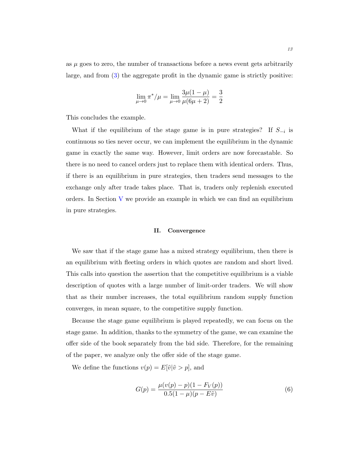as  $\mu$  goes to zero, the number of transactions before a news event gets arbitrarily large, and from [\(3\)](#page-9-3) the aggregate profit in the dynamic game is strictly positive:

$$
\lim_{\mu \to 0} \pi^* / \mu = \lim_{\mu \to 0} \frac{3\mu(1-\mu)}{\mu(6\mu+2)} = \frac{3}{2}
$$

This concludes the example.

What if the equilibrium of the stage game is in pure strategies? If  $S_{-i}$  is continuous so ties never occur, we can implement the equilibrium in the dynamic game in exactly the same way. However, limit orders are now forecastable. So there is no need to cancel orders just to replace them with identical orders. Thus, if there is an equilibrium in pure strategies, then traders send messages to the exchange only after trade takes place. That is, traders only replenish executed orders. In Section [V](#page-22-0) we provide an example in which we can find an equilibrium in pure strategies.

# II. Convergence

We saw that if the stage game has a mixed strategy equilibrium, then there is an equilibrium with fleeting orders in which quotes are random and short lived. This calls into question the assertion that the competitive equilibrium is a viable description of quotes with a large number of limit-order traders. We will show that as their number increases, the total equilibrium random supply function converges, in mean square, to the competitive supply function.

Because the stage game equilibrium is played repeatedly, we can focus on the stage game. In addition, thanks to the symmetry of the game, we can examine the offer side of the book separately from the bid side. Therefore, for the remaining of the paper, we analyze only the offer side of the stage game.

<span id="page-12-0"></span>We define the functions  $v(p) = E[\tilde{v}|\tilde{v} > p]$ , and

$$
G(p) = \frac{\mu(v(p) - p)(1 - F_V(p))}{0.5(1 - \mu)(p - E\tilde{v})}
$$
\n(6)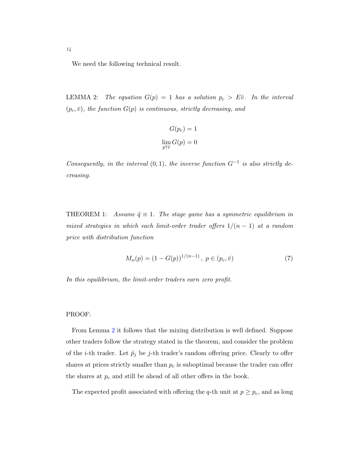We need the following technical result.

LEMMA 2: The equation  $G(p) = 1$  has a solution  $p_c > E\tilde{v}$ . In the interval  $(p_c, \bar{v})$ , the function  $G(p)$  is continuous, strictly decreasing, and

<span id="page-13-0"></span>
$$
G(p_c) = 1
$$

$$
\lim_{p \uparrow \bar{v}} G(p) = 0
$$

Consequently, in the interval  $(0, 1)$ , the inverse function  $G^{-1}$  is also strictly decreasing.

<span id="page-13-1"></span>THEOREM 1: Assume  $\tilde{q} \equiv 1$ . The stage game has a symmetric equilibrium in mixed strategies in which each limit-order trader offers  $1/(n-1)$  at a random price with distribution function

$$
M_n(p) = (1 - G(p))^{1/(n-1)}, \ p \in (p_c, \bar{v})
$$
\n<sup>(7)</sup>

In this equilibrium, the limit-order traders earn zero profit.

# PROOF:

From Lemma [2](#page-13-0) it follows that the mixing distribution is well defined. Suppose other traders follow the strategy stated in the theorem, and consider the problem of the *i*-th trader. Let  $\tilde{p}_j$  be *j*-th trader's random offering price. Clearly to offer shares at prices strictly smaller than  $p_c$  is suboptimal because the trader can offer the shares at  $p_c$  and still be ahead of all other offers in the book.

The expected profit associated with offering the q-th unit at  $p \geq p_c$ , and as long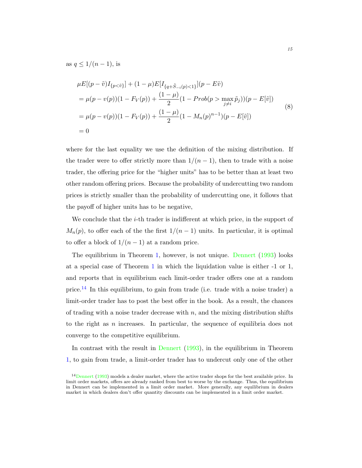as  $q \leq 1/(n-1)$ , is

$$
\mu E[(p - \tilde{v})I_{\{p < \tilde{v}\}}] + (1 - \mu)E[I_{\{q + \tilde{S} - i(p) < 1\}}](p - E\tilde{v})
$$
  
\n
$$
= \mu(p - v(p))(1 - F_V(p)) + \frac{(1 - \mu)}{2}(1 - Prob(p > \max_{j \neq i} \tilde{p}_j))(p - E[\tilde{v}])
$$
  
\n
$$
= \mu(p - v(p))(1 - F_V(p)) + \frac{(1 - \mu)}{2}(1 - M_n(p)^{n-1})(p - E[\tilde{v}])
$$
  
\n
$$
= 0
$$
\n(8)

where for the last equality we use the definition of the mixing distribution. If the trader were to offer strictly more than  $1/(n-1)$ , then to trade with a noise trader, the offering price for the "higher units" has to be better than at least two other random offering prices. Because the probability of undercutting two random prices is strictly smaller than the probability of undercutting one, it follows that the payoff of higher units has to be negative,

We conclude that the *i*-th trader is indifferent at which price, in the support of  $M_n(p)$ , to offer each of the the first  $1/(n-1)$  units. In particular, it is optimal to offer a block of  $1/(n-1)$  at a random price.

The equilibrium in Theorem [1,](#page-13-1) however, is not unique. [Dennert](#page-33-5) [\(1993\)](#page-33-5) looks at a special case of Theorem [1](#page-13-1) in which the liquidation value is either -1 or 1, and reports that in equilibrium each limit-order trader offers one at a random price.[14](#page-14-0) In this equilibrium, to gain from trade (i.e. trade with a noise trader) a limit-order trader has to post the best offer in the book. As a result, the chances of trading with a noise trader decrease with  $n$ , and the mixing distribution shifts to the right as n increases. In particular, the sequence of equilibria does not converge to the competitive equilibrium.

In contrast with the result in [Dennert](#page-33-5) [\(1993\)](#page-33-5), in the equilibrium in Theorem [1,](#page-13-1) to gain from trade, a limit-order trader has to undercut only one of the other

<span id="page-14-0"></span><sup>14</sup>[Dennert](#page-33-5) [\(1993\)](#page-33-5) models a dealer market, where the active trader shops for the best available price. In limit order markets, offers are already ranked from best to worse by the exchange. Thus, the equilibrium in Dennert can be implemented in a limit order market. More generally, any equilibrium in dealers market in which dealers don't offer quantity discounts can be implemented in a limit order market.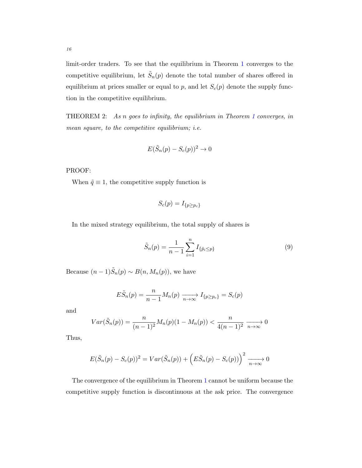limit-order traders. To see that the equilibrium in Theorem [1](#page-13-1) converges to the competitive equilibrium, let  $\tilde{S}_n(p)$  denote the total number of shares offered in equilibrium at prices smaller or equal to  $p$ , and let  $S_c(p)$  denote the supply function in the competitive equilibrium.

THEOREM 2: As n goes to infinity, the equilibrium in Theorem [1](#page-13-1) converges, in mean square, to the competitive equilibrium; *i.e.* 

$$
E(\tilde{S}_n(p) - S_c(p))^2 \to 0
$$

PROOF:

When  $\tilde{q} \equiv 1$ , the competitive supply function is

$$
S_c(p) = I_{\{p \ge p_c\}}
$$

In the mixed strategy equilibrium, the total supply of shares is

$$
\tilde{S}_n(p) = \frac{1}{n-1} \sum_{i=1}^n I_{\{\tilde{p}_i \le p\}} \tag{9}
$$

Because  $(n-1)\tilde{S}_n(p) \sim B(n, M_n(p))$ , we have

$$
E\tilde{S}_n(p) = \frac{n}{n-1}M_n(p) \xrightarrow[n \to \infty]{} I_{\{p \ge p_c\}} = S_c(p)
$$

and

$$
Var(\tilde{S}_n(p)) = \frac{n}{(n-1)^2} M_n(p)(1 - M_n(p)) < \frac{n}{4(n-1)^2} \xrightarrow[n \to \infty]{} 0
$$

Thus,

$$
E(\tilde{S}_n(p) - S_c(p))^2 = Var(\tilde{S}_n(p)) + (E\tilde{S}_n(p) - S_c(p)))^2 \xrightarrow[n \to \infty]{} 0
$$

The convergence of the equilibrium in Theorem [1](#page-13-1) cannot be uniform because the competitive supply function is discontinuous at the ask price. The convergence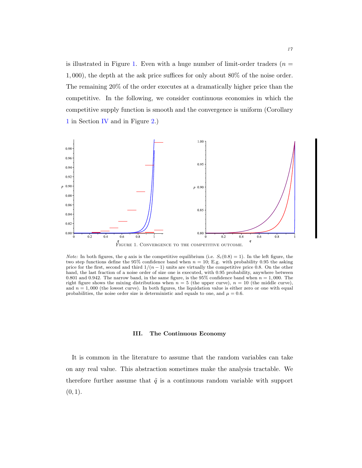is illustrated in Figure [1.](#page-16-0) Even with a huge number of limit-order traders ( $n =$ 1, 000), the depth at the ask price suffices for only about 80% of the noise order. The remaining 20% of the order executes at a dramatically higher price than the competitive. In the following, we consider continuous economies in which the competitive supply function is smooth and the convergence is uniform (Corollary [1](#page-21-0) in Section [IV](#page-18-0) and in Figure [2.](#page-25-0))



<span id="page-16-0"></span>*Note:* In both figures, the q axis is the competitive equilibrium (i.e.  $S_c(0.8) = 1$ ). In the left figure, the two step functions define the 95% confidence band when  $n = 10$ ; E.g. with probability 0.95 the asking price for the first, second and third  $1/(n-1)$  units are virtually the competitive price 0.8. On the other hand, the last fraction of a noise order of size one is executed, with 0.95 probability, anywhere between 0.801 and 0.942. The narrow band, in the same figure, is the 95% confidence band when  $n = 1,000$ . The right figure shows the mixing distributions when  $n = 5$  (the upper curve),  $n = 10$  (the middle curve), and  $n = 1,000$  (the lowest curve). In both figures, the liquidation value is either zero or one with equal probabilities, the noise order size is deterministic and equals to one, and  $\mu = 0.6$ .

#### III. The Continuous Economy

<span id="page-16-1"></span>It is common in the literature to assume that the random variables can take on any real value. This abstraction sometimes make the analysis tractable. We therefore further assume that  $\tilde{q}$  is a continuous random variable with support  $(0, 1).$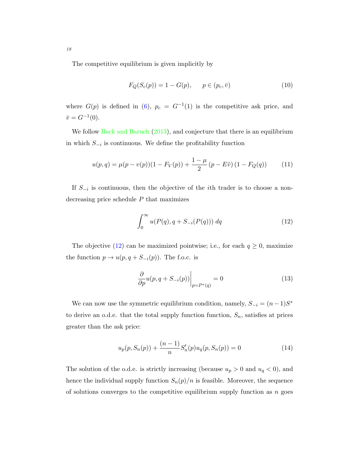The competitive equilibrium is given implicitly by

<span id="page-17-2"></span>
$$
F_Q(S_c(p)) = 1 - G(p), \qquad p \in (p_c, \bar{v})
$$
\n(10)

where  $G(p)$  is defined in [\(6\)](#page-12-0),  $p_c = G^{-1}(1)$  is the competitive ask price, and  $\bar{v} = G^{-1}(0).$ 

We follow [Back and Baruch](#page-33-4) [\(2013\)](#page-33-4), and conjecture that there is an equilibrium in which  $S_{-i}$  is continuous. We define the profitability function

<span id="page-17-3"></span>
$$
u(p,q) = \mu(p - v(p))(1 - F_V(p)) + \frac{1 - \mu}{2} (p - E\tilde{v}) (1 - F_Q(q))
$$
 (11)

<span id="page-17-0"></span>If  $S_{-i}$  is continuous, then the objective of the *i*th trader is to choose a nondecreasing price schedule  $P$  that maximizes

$$
\int_0^\infty u(P(q), q + S_{-i}(P(q))) \, dq \tag{12}
$$

The objective [\(12\)](#page-17-0) can be maximized pointwise; i.e., for each  $q \ge 0$ , maximize the function  $p \to u(p, q + S_{-i}(p))$ . The f.o.c. is

<span id="page-17-1"></span>
$$
\left. \frac{\partial}{\partial p} u(p, q + S_{-i}(p)) \right|_{p = P^*(q)} = 0 \tag{13}
$$

We can now use the symmetric equilibrium condition, namely,  $S_{-i} = (n-1)S^*$ to derive an o.d.e. that the total supply function function,  $S_n$ , satisfies at prices greater than the ask price:

<span id="page-17-4"></span>
$$
u_p(p, S_n(p)) + \frac{(n-1)}{n} S'_n(p) u_q(p, S_n(p)) = 0
$$
\n(14)

The solution of the o.d.e. is strictly increasing (because  $u_p > 0$  and  $u_q < 0$ ), and hence the individual supply function  $S_n(p)/n$  is feasible. Moreover, the sequence of solutions converges to the competitive equilibrium supply function as  $n$  goes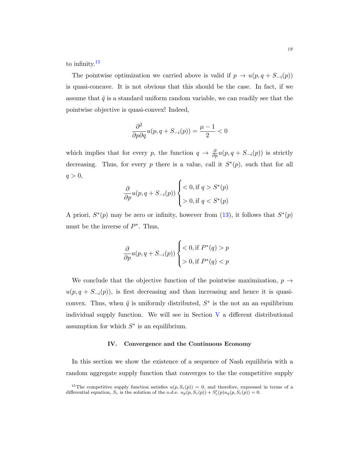to infinity.<sup>[15](#page-18-1)</sup>

The pointwise optimization we carried above is valid if  $p \to u(p, q + S_{-i}(p))$ is quasi-concave. It is not obvious that this should be the case. In fact, if we assume that  $\tilde{q}$  is a standard uniform random variable, we can readily see that the pointwise objective is quasi-convex! Indeed,

$$
\frac{\partial^2}{\partial p \partial q} u(p, q + S_{-i}(p)) = \frac{\mu - 1}{2} < 0
$$

which implies that for every p, the function  $q \to \frac{\partial}{\partial p}u(p, q + S_{-i}(p))$  is strictly decreasing. Thus, for every p there is a value, call it  $S^*(p)$ , such that for all  $q > 0$ ,

$$
\frac{\partial}{\partial p}u(p,q+S_{-i}(p))\left\{\begin{aligned} &<0, \text{if } q>S^*(p) \\ &>0, \text{if } q
$$

A priori,  $S^*(p)$  may be zero or infinity, however from [\(13\)](#page-17-1), it follows that  $S^*(p)$ must be the inverse of  $P^*$ . Thus,

$$
\frac{\partial}{\partial p}u(p, q + S_{-i}(p)) \begin{cases} < 0, \text{if } P^*(q) > p \\ > 0, \text{if } P^*(q) < p \end{cases}
$$

We conclude that the objective function of the pointwise maximization,  $p \rightarrow$  $u(p, q + S_{-i}(p))$ , is first decreasing and than increasing and hence it is quasiconvex. Thus, when  $\tilde{q}$  is uniformly distributed,  $S^*$  is the not an an equilibrium individual supply function. We will see in Section  $V$  a different distributional assumption for which  $S^*$  is an equilibrium.

#### IV. Convergence and the Continuous Economy

<span id="page-18-0"></span>In this section we show the existence of a sequence of Nash equilibria with a random aggregate supply function that converges to the the competitive supply

<span id="page-18-1"></span><sup>&</sup>lt;sup>15</sup>The competitive supply function satisfies  $u(p, S_c(p)) = 0$ , and therefore, expressed in terms of a differential equation,  $S_c$  is the solution of the o.d.e.  $u_p(p, S_c(p)) + S'_c(p)u_q(p, S_c(p)) = 0$ .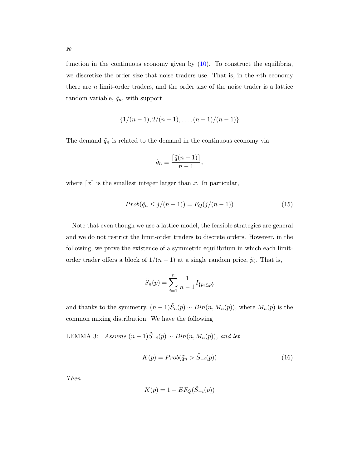function in the continuous economy given by [\(10\)](#page-17-2). To construct the equilibria, we discretize the order size that noise traders use. That is, in the nth economy there are  $n$  limit-order traders, and the order size of the noise trader is a lattice random variable,  $\tilde{q}_n$ , with support

$$
\{1/(n-1), 2/(n-1), \ldots, (n-1)/(n-1)\}\
$$

The demand  $\tilde{q}_n$  is related to the demand in the continuous economy via

$$
\tilde{q}_n \equiv \frac{\lceil \tilde{q}(n-1) \rceil}{n-1},
$$

where  $\lceil x \rceil$  is the smallest integer larger than x. In particular,

$$
Prob(\tilde{q}_n \le j/(n-1)) = F_Q(j/(n-1))\tag{15}
$$

Note that even though we use a lattice model, the feasible strategies are general and we do not restrict the limit-order traders to discrete orders. However, in the following, we prove the existence of a symmetric equilibrium in which each limitorder trader offers a block of  $1/(n-1)$  at a single random price,  $\tilde{p}_i$ . That is,

$$
\tilde{S}_n(p) = \sum_{i=1}^n \frac{1}{n-1} I_{\{\tilde{p}_i \le p\}}
$$

and thanks to the symmetry,  $(n-1)\tilde{S}_n(p) \sim Bin(n, M_n(p))$ , where  $M_n(p)$  is the common mixing distribution. We have the following

LEMMA 3: Assume  $(n-1)\tilde{S}_{-i}(p) \sim Bin(n, M_n(p))$ , and let

<span id="page-19-0"></span>
$$
K(p) = Prob(\tilde{q}_n > \tilde{S}_{-i}(p))
$$
\n(16)

Then

$$
K(p) = 1 - EF_Q(\tilde{S}_{-i}(p))
$$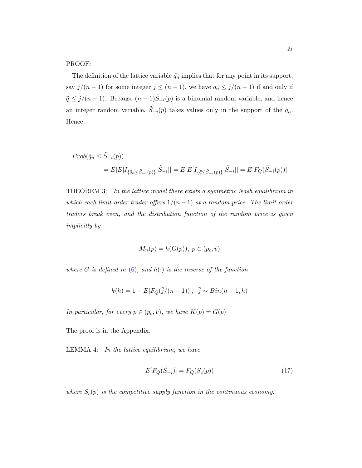# PROOF:

The definition of the lattice variable  $\tilde{q}_n$  implies that for any point in its support, say  $j/(n-1)$  for some integer  $j \le (n-1)$ , we have  $\tilde{q}_n \le j/(n-1)$  if and only if  $\tilde{q} \leq j/(n-1)$ . Because  $(n-1)\tilde{S}_{-i}(p)$  is a binomial random variable, and hence an integer random variable,  $\tilde{S}_{-i}(p)$  takes values only in the support of the  $\tilde{q}_n$ . Hence,

$$
Prob(\tilde{q}_n \leq \tilde{S}_{-i}(p))
$$
  
=  $E[E[I_{\{\tilde{q}_n \leq \tilde{S}_{-i}(p)\}}|\tilde{S}_{-i}]] = E[E[I_{\{\tilde{q} \leq \tilde{S}_{-i}(p)\}}|\tilde{S}_{-i}]] = E[F_Q(\tilde{S}_{-i}(p))]$ 

<span id="page-20-0"></span>THEOREM 3: In the lattice model there exists a symmetric Nash equilibrium in which each limit-order trader offers  $1/(n-1)$  at a random price. The limit-order traders break even, and the distribution function of the random price is given implicitly by

$$
M_n(p) = h(G(p)), \ p \in (p_c, \bar{v})
$$

where G is defined in  $(6)$ , and  $h(\cdot)$  is the inverse of the function

$$
k(h) = 1 - E[F_Q(\tilde{j}/(n-1))], \quad \tilde{j} \sim Bin(n-1, h)
$$

In particular, for every  $p \in (p_c, \bar{v})$ , we have  $K(p) = G(p)$ 

<span id="page-20-1"></span>The proof is in the Appendix.

LEMMA 4: In the lattice equilibrium, we have

$$
E[F_Q(\tilde{S}_{-i})] = F_Q(S_c(p))\tag{17}
$$

where  $S_c(p)$  is the competitive supply function in the continuous economy.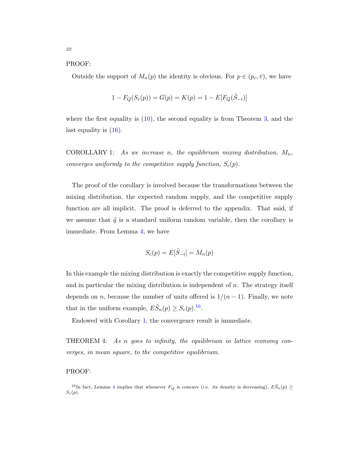#### PROOF:

Outside the support of  $M_n(p)$  the identity is obvious. For  $p \in (p_c, \bar{v})$ , we have

$$
1 - F_Q(S_c(p)) = G(p) = K(p) = 1 - E[F_Q(\tilde{S}_{-i})]
$$

where the first equality is [\(10\)](#page-17-2), the second equality is from Theorem [3,](#page-20-0) and the last equality is [\(16\)](#page-19-0).

<span id="page-21-0"></span>COROLLARY 1: As we increase n, the equilibrium mixing distribution,  $M_n$ , converges uniformly to the competitive supply function,  $S_c(p)$ .

The proof of the corollary is involved because the transformations between the mixing distribution, the expected random supply, and the competitive supply function are all implicit. The proof is deferred to the appendix. That said, if we assume that  $\tilde{q}$  is a standard uniform random variable, then the corollary is immediate. From Lemma [4,](#page-20-1) we have

<span id="page-21-2"></span>
$$
S_c(p) = E[\tilde{S}_{-i}] = M_n(p)
$$

In this example the mixing distribution is exactly the competitive supply function, and in particular the mixing distribution is independent of  $n$ . The strategy itself depends on n, because the number of units offered is  $1/(n-1)$ . Finally, we note that in the uniform example,  $E\tilde{S}_n(p) \geq S_c(p).$ <sup>[16](#page-21-1)</sup>.

Endowed with Corollary [1,](#page-21-0) the convergence result is immediate.

THEOREM 4: As n goes to infinity, the equilibrium in lattice economy converges, in mean square, to the competitive equilibrium.

# PROOF:

<span id="page-21-1"></span><sup>&</sup>lt;sup>16</sup>In fact, Lemma [4](#page-20-1) implies that whenever  $F_Q$  is concave (i.e. its density is decreasing),  $E\tilde{S}_n(p) \geq$  $S_c(p)$ .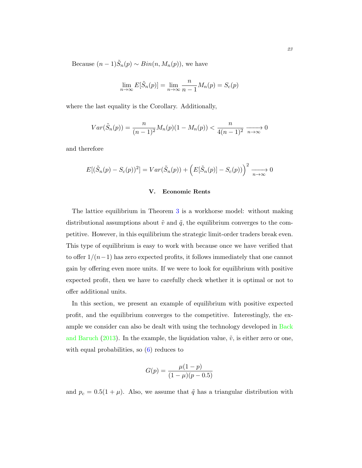Because  $(n-1)\tilde{S}_n(p) \sim Bin(n, M_n(p))$ , we have

$$
\lim_{n \to \infty} E[\tilde{S}_n(p)] = \lim_{n \to \infty} \frac{n}{n-1} M_n(p) = S_c(p)
$$

where the last equality is the Corollary. Additionally,

$$
Var(\tilde{S}_n(p)) = \frac{n}{(n-1)^2} M_n(p)(1 - M_n(p)) < \frac{n}{4(n-1)^2} \xrightarrow[n \to \infty]{} 0
$$

and therefore

$$
E[(\tilde{S}_n(p) - S_c(p))^2] = Var(\tilde{S}_n(p)) + (E[\tilde{S}_n(p)] - S_c(p))\bigg)^2 \xrightarrow[n \to \infty]{} 0
$$

# V. Economic Rents

<span id="page-22-0"></span>The lattice equilibrium in Theorem [3](#page-20-0) is a workhorse model: without making distributional assumptions about  $\tilde{v}$  and  $\tilde{q}$ , the equilibrium converges to the competitive. However, in this equilibrium the strategic limit-order traders break even. This type of equilibrium is easy to work with because once we have verified that to offer  $1/(n-1)$  has zero expected profits, it follows immediately that one cannot gain by offering even more units. If we were to look for equilibrium with positive expected profit, then we have to carefully check whether it is optimal or not to offer additional units.

In this section, we present an example of equilibrium with positive expected profit, and the equilibrium converges to the competitive. Interestingly, the example we consider can also be dealt with using the technology developed in [Back](#page-33-4) [and Baruch](#page-33-4) [\(2013\)](#page-33-4). In the example, the liquidation value,  $\tilde{v}$ , is either zero or one, with equal probabilities, so  $(6)$  reduces to

$$
G(p) = \frac{\mu(1-p)}{(1-\mu)(p-0.5)}
$$

and  $p_c = 0.5(1 + \mu)$ . Also, we assume that  $\tilde{q}$  has a triangular distribution with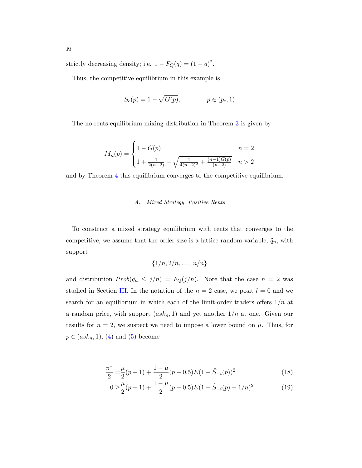strictly decreasing density; i.e.  $1 - F_Q(q) = (1 - q)^2$ .

Thus, the competitive equilibrium in this example is

$$
S_c(p) = 1 - \sqrt{G(p)}, \qquad p \in (p_c, 1)
$$

The no-rents equilibrium mixing distribution in Theorem [3](#page-20-0) is given by

$$
M_n(p) = \begin{cases} 1 - G(p) & n = 2 \\ 1 + \frac{1}{2(n-2)} - \sqrt{\frac{1}{4(n-2)^2} + \frac{(n-1)G(p)}{(n-2)}} & n > 2 \end{cases}
$$

and by Theorem [4](#page-21-2) this equilibrium converges to the competitive equilibrium.

# A. Mixed Strategy, Positive Rents

To construct a mixed strategy equilibrium with rents that converges to the competitive, we assume that the order size is a lattice random variable,  $\tilde{q}_n$ , with support

<span id="page-23-0"></span>
$$
\{1/n, 2/n, \ldots, n/n\}
$$

and distribution  $Prob(\tilde{q}_n \leq j/n) = F_Q(j/n)$ . Note that the case  $n = 2$  was studied in Section [III.](#page-16-1) In the notation of the  $n = 2$  case, we posit  $l = 0$  and we search for an equilibrium in which each of the limit-order traders offers  $1/n$  at a random price, with support  $(ask_n, 1)$  and yet another  $1/n$  at one. Given our results for  $n = 2$ , we suspect we need to impose a lower bound on  $\mu$ . Thus, for  $p \in (ask_n, 1), (4)$  $p \in (ask_n, 1), (4)$  and  $(5)$  become

$$
\frac{\pi^*}{2} = \frac{\mu}{2}(p-1) + \frac{1-\mu}{2}(p-0.5)E(1-\tilde{S}_{-i}(p))^2
$$
\n(18)

<span id="page-23-1"></span>
$$
0 \ge \frac{\mu}{2}(p-1) + \frac{1-\mu}{2}(p-0.5)E(1-\tilde{S}_{-i}(p)-1/n)^2
$$
 (19)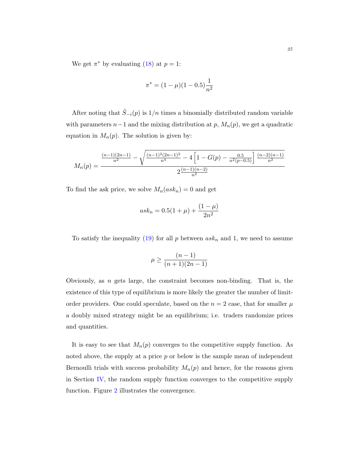We get  $\pi^*$  by evaluating [\(18\)](#page-23-0) at  $p=1$ :

$$
\pi^* = (1 - \mu)(1 - 0.5)\frac{1}{n^2}
$$

After noting that  $\tilde{S}_{-i}(p)$  is  $1/n$  times a binomially distributed random variable with parameters  $n-1$  and the mixing distribution at p,  $M_n(p)$ , we get a quadratic equation in  $M_n(p)$ . The solution is given by:

$$
M_n(p) = \frac{\frac{(n-1)(2n-1)}{n^2} - \sqrt{\frac{(n-1)^2(2n-1)^2}{n^4} - 4\left[1 - G(p) - \frac{0.5}{n^2(p-0.5)}\right] \frac{(n-2)(n-1)}{n^2}}{2\frac{(n-1)(n-2)}{n^2}}
$$

To find the ask price, we solve  $M_n(ask_n)=0$  and get

$$
ask_n = 0.5(1 + \mu) + \frac{(1 - \mu)}{2n^2}
$$

To satisfy the inequality [\(19\)](#page-23-1) for all  $p$  between  $ask_n$  and 1, we need to assume

$$
\mu \ge \frac{(n-1)}{(n+1)(2n-1)}
$$

Obviously, as  $n$  gets large, the constraint becomes non-binding. That is, the existence of this type of equilibrium is more likely the greater the number of limitorder providers. One could speculate, based on the  $n = 2$  case, that for smaller  $\mu$ a doubly mixed strategy might be an equilibrium; i.e. traders randomize prices and quantities.

It is easy to see that  $M_n(p)$  converges to the competitive supply function. As noted above, the supply at a price  $p$  or below is the sample mean of independent Bernoulli trials with success probability  $M_n(p)$  and hence, for the reasons given in Section [IV,](#page-18-0) the random supply function converges to the competitive supply function. Figure [2](#page-25-0) illustrates the convergence.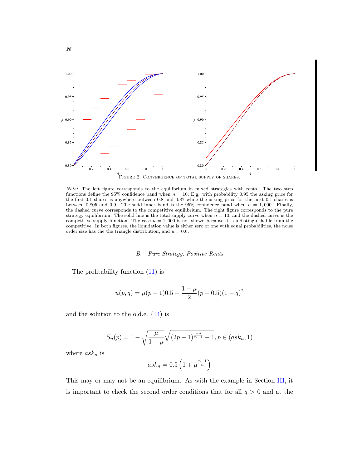

<span id="page-25-0"></span>Note: The left figure corresponds to the equilibrium in mixed strategies with rents. The two step functions define the 95% confidence band when  $n = 10$ ; E.g. with probability 0.95 the asking price for the first 0.1 shares is anywhere between 0.8 and 0.87 while the asking price for the next 0.1 shares is between 0.805 and 0.9. The solid inner band is the 95% confidence band when  $n = 1,000$ . Finally, the dashed curve corresponds to the competitive equilibrium. The right figure corresponds to the pure strategy equilibrium. The solid line is the total supply curve when  $n = 10$ , and the dashed curve is the competitive supply function. The case  $n = 1,000$  is not shown because it is indistinguishable from the competitive. In both figures, the liquidation value is either zero or one with equal probabilities, the noise order size has the the triangle distribution, and  $\mu = 0.6$ .

#### B. Pure Strategy, Positive Rents

The profitability function [\(11\)](#page-17-3) is

$$
u(p,q) = \mu(p-1)0.5 + \frac{1-\mu}{2}(p-0.5)(1-q)^2
$$

and the solution to the o.d.e. [\(14\)](#page-17-4) is

$$
S_n(p) = 1 - \sqrt{\frac{\mu}{1-\mu}} \sqrt{(2p-1)^{\frac{-n}{n-1}} - 1}, p \in (ask_n, 1)
$$

where  $ask_n$  is

26

$$
ask_n = 0.5 \left(1 + \mu^{\frac{n-1}{n}}\right)
$$

This may or may not be an equilibrium. As with the example in Section [III,](#page-16-1) it is important to check the second order conditions that for all  $q > 0$  and at the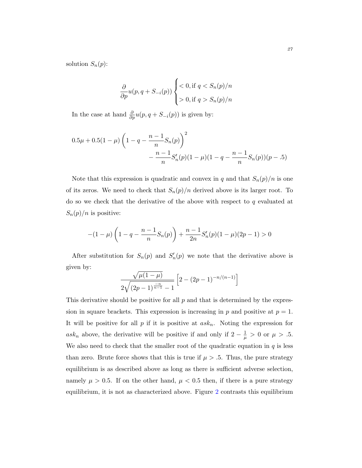solution  $S_n(p)$ :

$$
\frac{\partial}{\partial p}u(p, q + S_{-i}(p)) \begin{cases} < 0, \text{if } q < S_n(p)/n \\ > 0, \text{if } q > S_n(p)/n \end{cases}
$$

In the case at hand  $\frac{\partial}{\partial p}u(p, q+S_{-i}(p))$  is given by:

$$
0.5\mu + 0.5(1 - \mu) \left(1 - q - \frac{n-1}{n} S_n(p)\right)^2
$$

$$
- \frac{n-1}{n} S'_n(p)(1 - \mu)(1 - q - \frac{n-1}{n} S_n(p))(p - .5)
$$

Note that this expression is quadratic and convex in q and that  $S_n(p)/n$  is one of its zeros. We need to check that  $S_n(p)/n$  derived above is its larger root. To do so we check that the derivative of the above with respect to  $q$  evaluated at  $S_n(p)/n$  is positive:

$$
-(1-\mu)\left(1-q-\frac{n-1}{n}S_n(p)\right)+\frac{n-1}{2n}S'_n(p)(1-\mu)(2p-1)>0
$$

After substitution for  $S_n(p)$  and  $S'_n(p)$  we note that the derivative above is given by:

$$
\frac{\sqrt{\mu(1-\mu)}}{2\sqrt{(2p-1)^{\frac{-n}{n-1}}-1}} \left[2-(2p-1)^{-n/(n-1)}\right]
$$

This derivative should be positive for all  $p$  and that is determined by the expression in square brackets. This expression is increasing in  $p$  and positive at  $p = 1$ . It will be positive for all p if it is positive at  $ask_n$ . Noting the expression for ask<sub>n</sub> above, the derivative will be positive if and only if  $2 - \frac{1}{\mu} > 0$  or  $\mu > .5$ . We also need to check that the smaller root of the quadratic equation in  $q$  is less than zero. Brute force shows that this is true if  $\mu > 0.5$ . Thus, the pure strategy equilibrium is as described above as long as there is sufficient adverse selection, namely  $\mu > 0.5$ . If on the other hand,  $\mu < 0.5$  then, if there is a pure strategy equilibrium, it is not as characterized above. Figure [2](#page-25-0) contrasts this equilibrium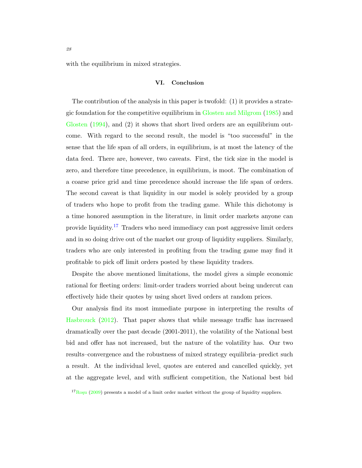with the equilibrium in mixed strategies.

#### VI. Conclusion

The contribution of the analysis in this paper is twofold: (1) it provides a strategic foundation for the competitive equilibrium in [Glosten and Milgrom](#page-33-6) [\(1985\)](#page-33-6) and [Glosten](#page-33-0) [\(1994\)](#page-33-0), and (2) it shows that short lived orders are an equilibrium outcome. With regard to the second result, the model is "too successful" in the sense that the life span of all orders, in equilibrium, is at most the latency of the data feed. There are, however, two caveats. First, the tick size in the model is zero, and therefore time precedence, in equilibrium, is moot. The combination of a coarse price grid and time precedence should increase the life span of orders. The second caveat is that liquidity in our model is solely provided by a group of traders who hope to profit from the trading game. While this dichotomy is a time honored assumption in the literature, in limit order markets anyone can provide liquidity.<sup>[17](#page-27-0)</sup> Traders who need immediacy can post aggressive limit orders and in so doing drive out of the market our group of liquidity suppliers. Similarly, traders who are only interested in profiting from the trading game may find it profitable to pick off limit orders posted by these liquidity traders.

Despite the above mentioned limitations, the model gives a simple economic rational for fleeting orders: limit-order traders worried about being undercut can effectively hide their quotes by using short lived orders at random prices.

Our analysis find its most immediate purpose in interpreting the results of [Hasbrouck](#page-33-1) [\(2012\)](#page-33-1). That paper shows that while message traffic has increased dramatically over the past decade (2001-2011), the volatility of the National best bid and offer has not increased, but the nature of the volatility has. Our two results–convergence and the robustness of mixed strategy equilibria–predict such a result. At the individual level, quotes are entered and cancelled quickly, yet at the aggregate level, and with sufficient competition, the National best bid

<span id="page-27-0"></span> $17_{\text{Rosu}}$  [\(2009\)](#page-34-2) presents a model of a limit order market without the group of liquidity suppliers.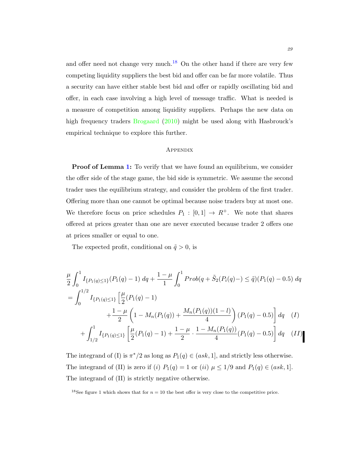and offer need not change very much.<sup>[18](#page-28-0)</sup> On the other hand if there are very few competing liquidity suppliers the best bid and offer can be far more volatile. Thus a security can have either stable best bid and offer or rapidly oscillating bid and offer, in each case involving a high level of message traffic. What is needed is a measure of competition among liquidity suppliers. Perhaps the new data on high frequency traders [Brogaard](#page-33-7) [\(2010\)](#page-33-7) might be used along with Hasbrouck's empirical technique to explore this further.

# **APPENDIX**

**Proof of Lemma [1:](#page-11-0)** To verify that we have found an equilibrium, we consider the offer side of the stage game, the bid side is symmetric. We assume the second trader uses the equilibrium strategy, and consider the problem of the first trader. Offering more than one cannot be optimal because noise traders buy at most one. We therefore focus on price schedules  $P_1 : [0,1] \rightarrow R^+$ . We note that shares offered at prices greater than one are never executed because trader 2 offers one at prices smaller or equal to one.

The expected profit, conditional on  $\tilde{q} > 0$ , is

$$
\frac{\mu}{2} \int_0^1 I_{\{P_1(q)\leq 1\}}(P_1(q) - 1) dq + \frac{1 - \mu}{1} \int_0^1 Prob(q + \tilde{S}_2(P_i(q) -) \leq \tilde{q})(P_1(q) - 0.5) dq
$$
  
\n
$$
= \int_0^{1/2} I_{\{P_1(q)\leq 1\}} \left[ \frac{\mu}{2} (P_1(q) - 1) + \frac{1 - \mu}{2} \left( 1 - M_n(P_1(q)) + \frac{M_n(P_1(q))(1 - l)}{4} \right) (P_1(q) - 0.5) \right] dq \quad (I)
$$
  
\n
$$
+ \int_{1/2}^1 I_{\{P_1(q)\leq 1\}} \left[ \frac{\mu}{2} (P_1(q) - 1) + \frac{1 - \mu}{2} \cdot \frac{1 - M_n(P_1(q))}{4} (P_1(q) - 0.5) \right] dq \quad (II)
$$

The integrand of (I) is  $\pi^*/2$  as long as  $P_1(q) \in (ask, 1]$ , and strictly less otherwise. The integrand of (II) is zero if (i)  $P_1(q) = 1$  or (ii)  $\mu \leq 1/9$  and  $P_1(q) \in (ask, 1]$ . The integrand of (II) is strictly negative otherwise.

<span id="page-28-0"></span><sup>&</sup>lt;sup>18</sup>See figure 1 which shows that for  $n = 10$  the best offer is very close to the competitive price.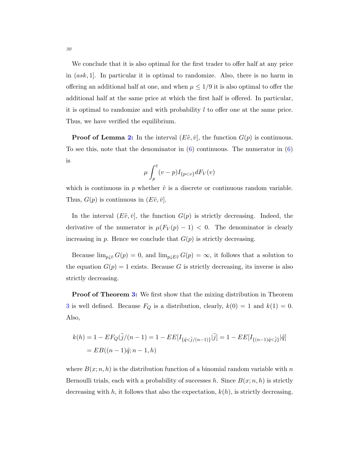We conclude that it is also optimal for the first trader to offer half at any price in  $(ask, 1]$ . In particular it is optimal to randomize. Also, there is no harm in offering an additional half at one, and when  $\mu \leq 1/9$  it is also optimal to offer the additional half at the same price at which the first half is offered. In particular, it is optimal to randomize and with probability  $l$  to offer one at the same price. Thus, we have verified the equilibrium.

**Proof of Lemma [2:](#page-13-0)** In the interval  $(E\tilde{v}, \bar{v}]$ , the function  $G(p)$  is continuous. To see this, note that the denominator in  $(6)$  continuous. The numerator in  $(6)$ is

$$
\mu \int_p^{\bar{v}} (v-p) I_{\{p
$$

which is continuous in p whether  $\tilde{v}$  is a discrete or continuous random variable. Thus,  $G(p)$  is continuous in  $(E\tilde{v}, \bar{v})$ .

In the interval  $(E\tilde{v}, \bar{v}]$ , the function  $G(p)$  is strictly decreasing. Indeed, the derivative of the numerator is  $\mu(F_V(p) - 1) < 0$ . The denominator is clearly increasing in  $p$ . Hence we conclude that  $G(p)$  is strictly decreasing.

Because  $\lim_{p\downarrow \bar{v}} G(p) = 0$ , and  $\lim_{p\downarrow E\tilde{v}} G(p) = \infty$ , it follows that a solution to the equation  $G(p) = 1$  exists. Because G is strictly decreasing, its inverse is also strictly decreasing.

**Proof of Theorem [3:](#page-20-0)** We first show that the mixing distribution in Theorem [3](#page-20-0) is well defined. Because  $F_Q$  is a distribution, clearly,  $k(0) = 1$  and  $k(1) = 0$ . Also,

$$
k(h) = 1 - EF_Q(\tilde{j}/(n-1)) = 1 - EE[I_{\{\tilde{q} < \tilde{j}/(n-1)\}}|\tilde{j}] = 1 - EE[I_{\{(n-1)\tilde{q} < \tilde{j}\}}|\tilde{q}]
$$
\n
$$
= EB((n-1)\tilde{q}; n-1, h)
$$

where  $B(x; n, h)$  is the distribution function of a binomial random variable with n Bernoulli trials, each with a probability of successes h. Since  $B(x; n, h)$  is strictly decreasing with h, it follows that also the expectation,  $k(h)$ , is strictly decreasing.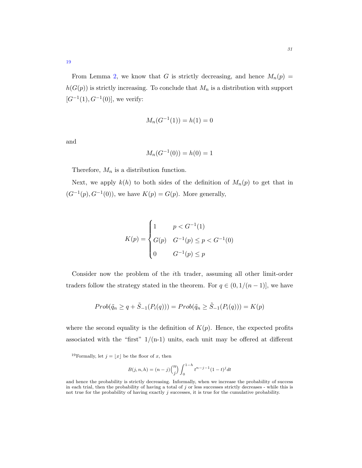From Lemma [2,](#page-13-0) we know that G is strictly decreasing, and hence  $M_n(p)$  =  $h(G(p))$  is strictly increasing. To conclude that  $M_n$  is a distribution with support  $[G^{-1}(1), G^{-1}(0)]$ , we verify:

$$
M_n(G^{-1}(1)) = h(1) = 0
$$

and

$$
M_n(G^{-1}(0)) = h(0) = 1
$$

Therefore,  $M_n$  is a distribution function.

Next, we apply  $k(h)$  to both sides of the definition of  $M_n(p)$  to get that in  $(G^{-1}(p), G^{-1}(0))$ , we have  $K(p) = G(p)$ . More generally,

$$
K(p) = \begin{cases} 1 & p < G^{-1}(1) \\ G(p) & G^{-1}(p) \le p < G^{-1}(0) \\ 0 & G^{-1}(p) \le p \end{cases}
$$

Consider now the problem of the ith trader, assuming all other limit-order traders follow the strategy stated in the theorem. For  $q \in (0, 1/(n-1)]$ , we have

$$
Prob(\tilde{q}_n \ge q + \tilde{S}_{-1}(P_i(q))) = Prob(\tilde{q}_n \ge \tilde{S}_{-1}(P_i(q))) = K(p)
$$

where the second equality is the definition of  $K(p)$ . Hence, the expected profits associated with the "first"  $1/(n-1)$  units, each unit may be offered at different

<span id="page-30-0"></span><sup>19</sup>Formally, let  $j = \lfloor x \rfloor$  be the floor of x, then

$$
B(j, n, h) = (n - j) {n \choose j} \int_0^{1 - h} t^{n - j - 1} (1 - t)^j dt
$$

and hence the probability is strictly decreasing. Informally, when we increase the probability of success in each trial, then the probability of having a total of  $j$  or less successes strictly decreases - while this is not true for the probability of having exactly  $j$  successes, it is true for the cumulative probability.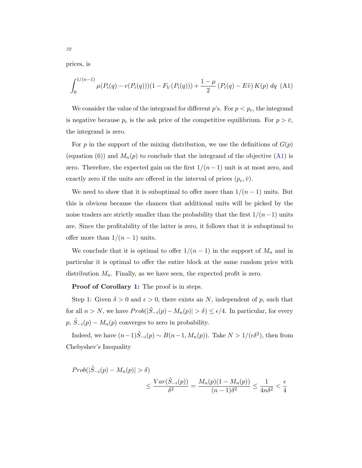prices, is

<span id="page-31-0"></span>
$$
\int_0^{1/(n-1)} \mu(P_i(q) - v(P_i(q)))(1 - F_V(P_i(q))) + \frac{1 - \mu}{2} (P_i(q) - E\tilde{v}) K(p) dq
$$
 (A1)

We consider the value of the integrand for different p's. For  $p < p<sub>c</sub>$ , the integrand is negative because  $p_c$  is the ask price of the competitive equilibrium. For  $p > \bar{v}$ , the integrand is zero.

For p in the support of the mixing distribution, we use the definitions of  $G(p)$ (equation [\(6\)](#page-12-0)) and  $M_n(p)$  to conclude that the integrand of the objective [\(A1\)](#page-31-0) is zero. Therefore, the expected gain on the first  $1/(n-1)$  unit is at most zero, and exactly zero if the units are offered in the interval of prices  $(p_c, \bar{v})$ .

We need to show that it is suboptimal to offer more than  $1/(n-1)$  units. But this is obvious because the chances that additional units will be picked by the noise traders are strictly smaller than the probability that the first  $1/(n-1)$  units are. Since the profitability of the latter is zero, it follows that it is suboptimal to offer more than  $1/(n-1)$  units.

We conclude that it is optimal to offer  $1/(n-1)$  in the support of  $M_n$  and in particular it is optimal to offer the entire block at the same random price with distribution  $M_n$ . Finally, as we have seen, the expected profit is zero.

Proof of Corollary [1:](#page-21-0) The proof is in steps.

Step 1: Given  $\delta > 0$  and  $\epsilon > 0$ , there exists an N, independent of p, such that for all  $n > N$ , we have  $Prob(|\tilde{S}_{-i}(p) - M_n(p)| > \delta) \leq \epsilon/4$ . In particular, for every  $p, \tilde{S}_{-i}(p) - M_n(p)$  converges to zero in probability.

Indeed, we have  $(n-1)\tilde{S}_{-i}(p) \sim B(n-1, M_n(p))$ . Take  $N > 1/(\epsilon \delta^2)$ , then from Chebyshev's Inequality

$$
Prob(|\tilde{S}_{-i}(p) - M_n(p)| > \delta)
$$
  

$$
\leq \frac{Var(\tilde{S}_{-i}(p))}{\delta^2} = \frac{M_n(p)(1 - M_n(p))}{(n - 1)\delta^2} \leq \frac{1}{4n\delta^2} < \frac{\epsilon}{4}
$$

32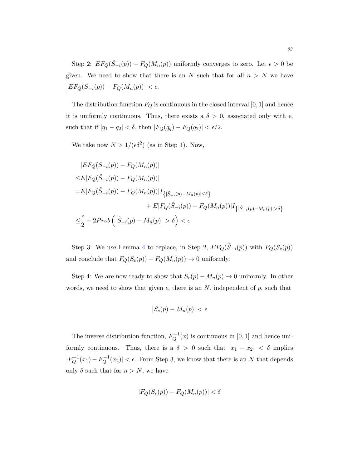Step 2:  $EF_Q(\tilde{S}_{-i}(p)) - F_Q(M_n(p))$  uniformly converges to zero. Let  $\epsilon > 0$  be given. We need to show that there is an N such that for all  $n > N$  we have  $\left| EF_Q(\tilde{S}_{-i}(p)) - F_Q(M_n(p)) \right| < \epsilon.$ 

The distribution function  $F_Q$  is continuous in the closed interval [0, 1] and hence it is uniformly continuous. Thus, there exists a  $\delta > 0$ , associated only with  $\epsilon$ , such that if  $|q_1 - q_2| < \delta$ , then  $|F_Q(q_q) - F_Q(q_2)| < \epsilon/2$ .

We take now  $N > 1/(\epsilon \delta^2)$  (as in Step 1). Now,

$$
|EF_Q(\tilde{S}_{-i}(p)) - F_Q(M_n(p))|
$$
  
\n
$$
\leq E|F_Q(\tilde{S}_{-i}(p)) - F_Q(M_n(p))|
$$
  
\n
$$
= E|F_Q(\tilde{S}_{-i}(p)) - F_Q(M_n(p))|I_{\{|\tilde{S}_{-i}(p) - M_n(p)| \leq \delta\}} + E|F_Q(\tilde{S}_{-i}(p)) - F_Q(M_n(p))|I_{\{|\tilde{S}_{-i}(p) - M_n(p)| > \delta\}}\n\n
$$
\leq \frac{\epsilon}{2} + 2Prob\left(\left|\tilde{S}_{-i}(p) - M_n(p)\right| > \delta\right) < \epsilon
$$
$$

Step 3: We use Lemma [4](#page-20-1) to replace, in Step 2,  $EF_Q(\tilde{S}_{-i}(p))$  with  $F_Q(S_c(p))$ and conclude that  $F_Q(S_c(p)) - F_Q(M_n(p)) \to 0$  uniformly.

Step 4: We are now ready to show that  $S_c(p) - M_n(p) \to 0$  uniformly. In other words, we need to show that given  $\epsilon$ , there is an N, independent of p, such that

$$
|S_c(p) - M_n(p)| < \epsilon
$$

The inverse distribution function,  $F_O^{-1}$  $Q^{-1}(x)$  is continuous in [0, 1] and hence uniformly continuous. Thus, there is a  $\delta > 0$  such that  $|x_1 - x_2| < \delta$  implies  $|F^{-1}_O$  $q^{-1}(x_1) - F_Q^{-1}$  $\left|\frac{Q^{-1}}{Q}(x_2)\right| < \epsilon$ . From Step 3, we know that there is an N that depends only  $\delta$  such that for  $n > N$ , we have

$$
|F_Q(S_c(p)) - F_Q(M_n(p))| < \delta
$$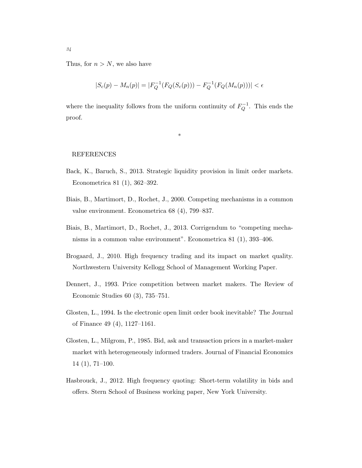Thus, for  $n > N$ , we also have

$$
|S_c(p) - M_n(p)| = |F_Q^{-1}(F_Q(S_c(p))) - F_Q^{-1}(F_Q(M_n(p)))| < \epsilon
$$

where the inequality follows from the uniform continuity of  $F_Q^{-1}$  $\mathbb{Q}^{-1}$ . This ends the proof.

\*

# REFERENCES

- <span id="page-33-4"></span>Back, K., Baruch, S., 2013. Strategic liquidity provision in limit order markets. Econometrica 81 (1), 362–392.
- <span id="page-33-2"></span>Biais, B., Martimort, D., Rochet, J., 2000. Competing mechanisms in a common value environment. Econometrica 68 (4), 799–837.
- <span id="page-33-3"></span>Biais, B., Martimort, D., Rochet, J., 2013. Corrigendum to "competing mechanisms in a common value environment". Econometrica 81 (1), 393–406.
- <span id="page-33-7"></span>Brogaard, J., 2010. High frequency trading and its impact on market quality. Northwestern University Kellogg School of Management Working Paper.
- <span id="page-33-5"></span>Dennert, J., 1993. Price competition between market makers. The Review of Economic Studies 60 (3), 735–751.
- <span id="page-33-0"></span>Glosten, L., 1994. Is the electronic open limit order book inevitable? The Journal of Finance 49 (4), 1127–1161.
- <span id="page-33-6"></span>Glosten, L., Milgrom, P., 1985. Bid, ask and transaction prices in a market-maker market with heterogeneously informed traders. Journal of Financial Economics 14 (1), 71–100.
- <span id="page-33-1"></span>Hasbrouck, J., 2012. High frequency quoting: Short-term volatility in bids and offers. Stern School of Business working paper, New York University.